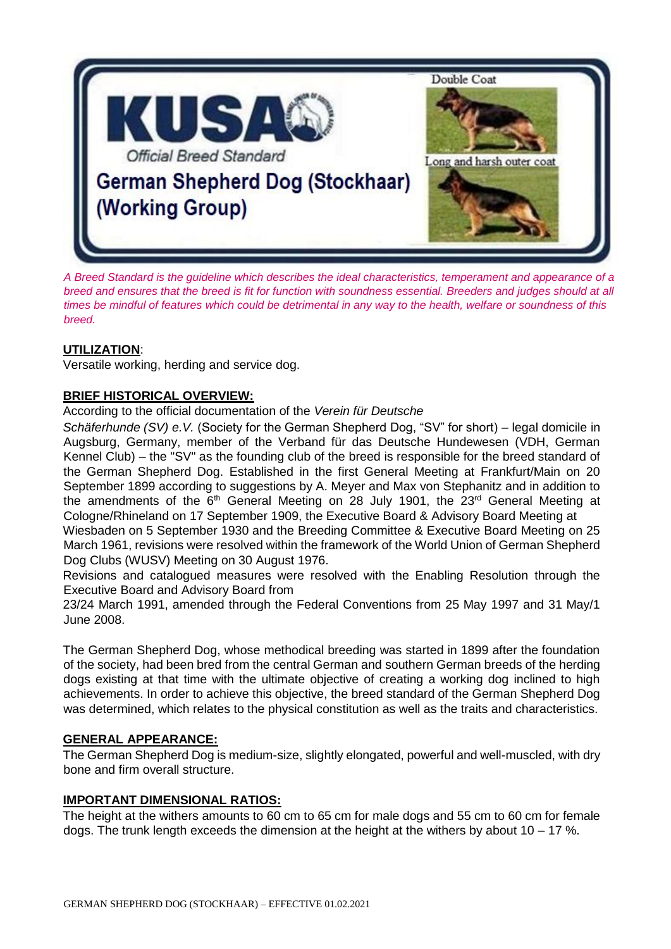

*A Breed Standard is the guideline which describes the ideal characteristics, temperament and appearance of a breed and ensures that the breed is fit for function with soundness essential. Breeders and judges should at all times be mindful of features which could be detrimental in any way to the health, welfare or soundness of this breed.*

# **UTILIZATION**:

Versatile working, herding and service dog.

# **BRIEF HISTORICAL OVERVIEW:**

According to the official documentation of the *Verein für Deutsche* 

*Schäferhunde (SV) e.V.* (Society for the German Shepherd Dog, "SV" for short) – legal domicile in Augsburg, Germany, member of the Verband für das Deutsche Hundewesen (VDH, German Kennel Club) – the "SV" as the founding club of the breed is responsible for the breed standard of the German Shepherd Dog. Established in the first General Meeting at Frankfurt/Main on 20 September 1899 according to suggestions by A. Meyer and Max von Stephanitz and in addition to the amendments of the  $6<sup>th</sup>$  General Meeting on 28 July 1901, the 23<sup>rd</sup> General Meeting at Cologne/Rhineland on 17 September 1909, the Executive Board & Advisory Board Meeting at Wiesbaden on 5 September 1930 and the Breeding Committee & Executive Board Meeting on 25 March 1961, revisions were resolved within the framework of the World Union of German Shepherd Dog Clubs (WUSV) Meeting on 30 August 1976.

Revisions and catalogued measures were resolved with the Enabling Resolution through the Executive Board and Advisory Board from

23/24 March 1991, amended through the Federal Conventions from 25 May 1997 and 31 May/1 June 2008.

The German Shepherd Dog, whose methodical breeding was started in 1899 after the foundation of the society, had been bred from the central German and southern German breeds of the herding dogs existing at that time with the ultimate objective of creating a working dog inclined to high achievements. In order to achieve this objective, the breed standard of the German Shepherd Dog was determined, which relates to the physical constitution as well as the traits and characteristics.

# **GENERAL APPEARANCE:**

The German Shepherd Dog is medium-size, slightly elongated, powerful and well-muscled, with dry bone and firm overall structure.

# **IMPORTANT DIMENSIONAL RATIOS:**

The height at the withers amounts to 60 cm to 65 cm for male dogs and 55 cm to 60 cm for female dogs. The trunk length exceeds the dimension at the height at the withers by about  $10 - 17$  %.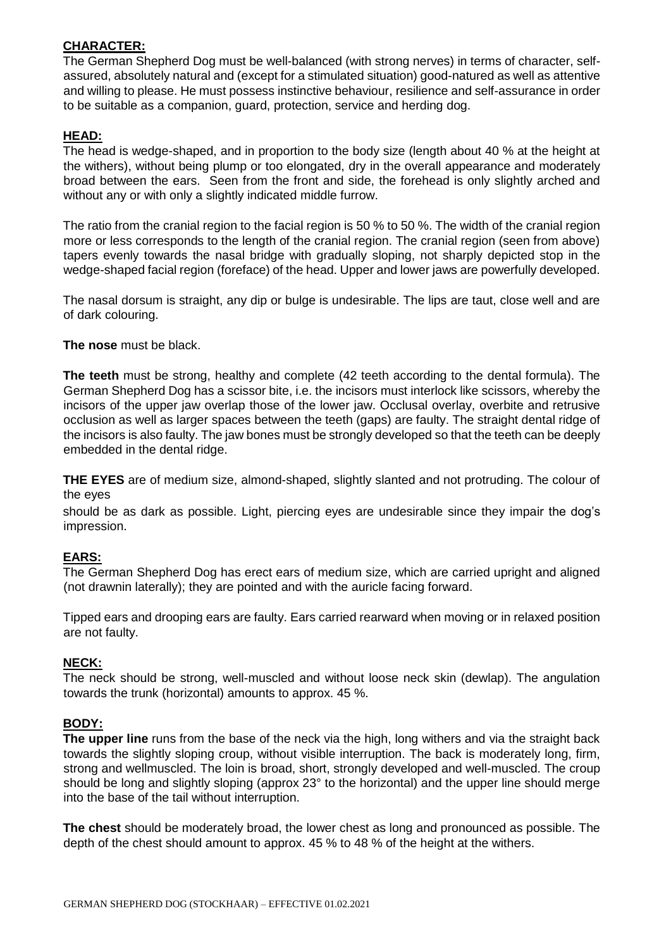# **CHARACTER:**

The German Shepherd Dog must be well-balanced (with strong nerves) in terms of character, selfassured, absolutely natural and (except for a stimulated situation) good-natured as well as attentive and willing to please. He must possess instinctive behaviour, resilience and self-assurance in order to be suitable as a companion, guard, protection, service and herding dog.

### **HEAD:**

The head is wedge-shaped, and in proportion to the body size (length about 40 % at the height at the withers), without being plump or too elongated, dry in the overall appearance and moderately broad between the ears. Seen from the front and side, the forehead is only slightly arched and without any or with only a slightly indicated middle furrow.

The ratio from the cranial region to the facial region is 50 % to 50 %. The width of the cranial region more or less corresponds to the length of the cranial region. The cranial region (seen from above) tapers evenly towards the nasal bridge with gradually sloping, not sharply depicted stop in the wedge-shaped facial region (foreface) of the head. Upper and lower jaws are powerfully developed.

The nasal dorsum is straight, any dip or bulge is undesirable. The lips are taut, close well and are of dark colouring.

**The nose** must be black.

**The teeth** must be strong, healthy and complete (42 teeth according to the dental formula). The German Shepherd Dog has a scissor bite, i.e. the incisors must interlock like scissors, whereby the incisors of the upper jaw overlap those of the lower jaw. Occlusal overlay, overbite and retrusive occlusion as well as larger spaces between the teeth (gaps) are faulty. The straight dental ridge of the incisors is also faulty. The jaw bones must be strongly developed so that the teeth can be deeply embedded in the dental ridge.

**THE EYES** are of medium size, almond-shaped, slightly slanted and not protruding. The colour of the eyes

should be as dark as possible. Light, piercing eyes are undesirable since they impair the dog's impression.

### **EARS:**

The German Shepherd Dog has erect ears of medium size, which are carried upright and aligned (not drawnin laterally); they are pointed and with the auricle facing forward.

Tipped ears and drooping ears are faulty. Ears carried rearward when moving or in relaxed position are not faulty.

### **NECK:**

The neck should be strong, well-muscled and without loose neck skin (dewlap). The angulation towards the trunk (horizontal) amounts to approx. 45 %.

### **BODY:**

**The upper line** runs from the base of the neck via the high, long withers and via the straight back towards the slightly sloping croup, without visible interruption. The back is moderately long, firm, strong and wellmuscled. The loin is broad, short, strongly developed and well-muscled. The croup should be long and slightly sloping (approx 23° to the horizontal) and the upper line should merge into the base of the tail without interruption.

**The chest** should be moderately broad, the lower chest as long and pronounced as possible. The depth of the chest should amount to approx. 45 % to 48 % of the height at the withers.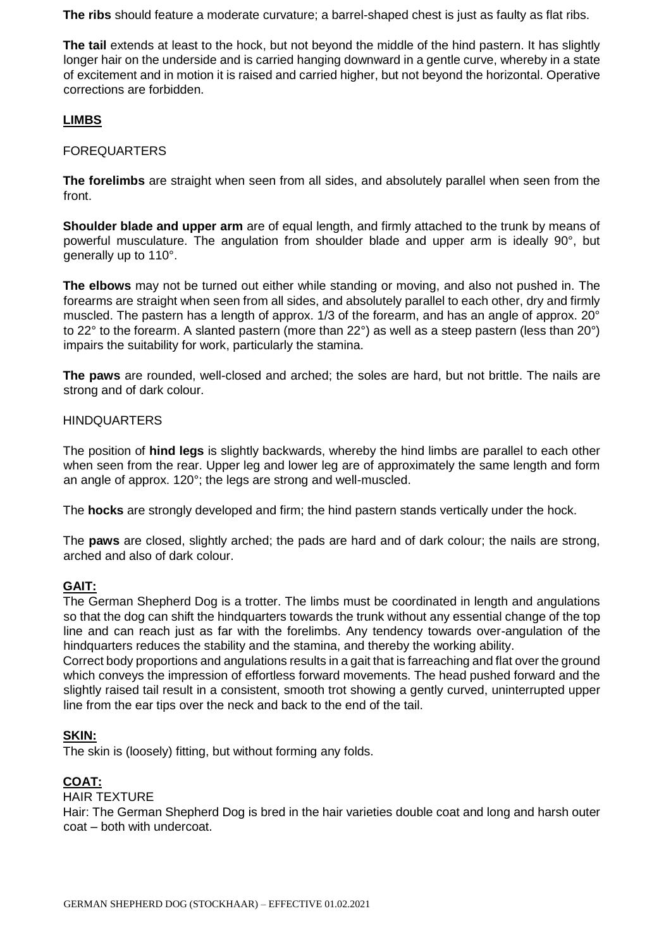**The ribs** should feature a moderate curvature; a barrel-shaped chest is just as faulty as flat ribs.

**The tail** extends at least to the hock, but not beyond the middle of the hind pastern. It has slightly longer hair on the underside and is carried hanging downward in a gentle curve, whereby in a state of excitement and in motion it is raised and carried higher, but not beyond the horizontal. Operative corrections are forbidden.

### **LIMBS**

### FOREQUARTERS

**The forelimbs** are straight when seen from all sides, and absolutely parallel when seen from the front.

**Shoulder blade and upper arm** are of equal length, and firmly attached to the trunk by means of powerful musculature. The angulation from shoulder blade and upper arm is ideally 90°, but generally up to 110°.

**The elbows** may not be turned out either while standing or moving, and also not pushed in. The forearms are straight when seen from all sides, and absolutely parallel to each other, dry and firmly muscled. The pastern has a length of approx. 1/3 of the forearm, and has an angle of approx. 20° to 22° to the forearm. A slanted pastern (more than 22°) as well as a steep pastern (less than 20°) impairs the suitability for work, particularly the stamina.

**The paws** are rounded, well-closed and arched; the soles are hard, but not brittle. The nails are strong and of dark colour.

#### HINDQUARTERS

The position of **hind legs** is slightly backwards, whereby the hind limbs are parallel to each other when seen from the rear. Upper leg and lower leg are of approximately the same length and form an angle of approx. 120°; the legs are strong and well-muscled.

The **hocks** are strongly developed and firm; the hind pastern stands vertically under the hock.

The **paws** are closed, slightly arched; the pads are hard and of dark colour; the nails are strong, arched and also of dark colour.

### **GAIT:**

The German Shepherd Dog is a trotter. The limbs must be coordinated in length and angulations so that the dog can shift the hindquarters towards the trunk without any essential change of the top line and can reach just as far with the forelimbs. Any tendency towards over-angulation of the hindquarters reduces the stability and the stamina, and thereby the working ability.

Correct body proportions and angulations results in a gait that is farreaching and flat over the ground which conveys the impression of effortless forward movements. The head pushed forward and the slightly raised tail result in a consistent, smooth trot showing a gently curved, uninterrupted upper line from the ear tips over the neck and back to the end of the tail.

### **SKIN:**

The skin is (loosely) fitting, but without forming any folds.

### **COAT:**

### HAIR TEXTURE

Hair: The German Shepherd Dog is bred in the hair varieties double coat and long and harsh outer coat – both with undercoat.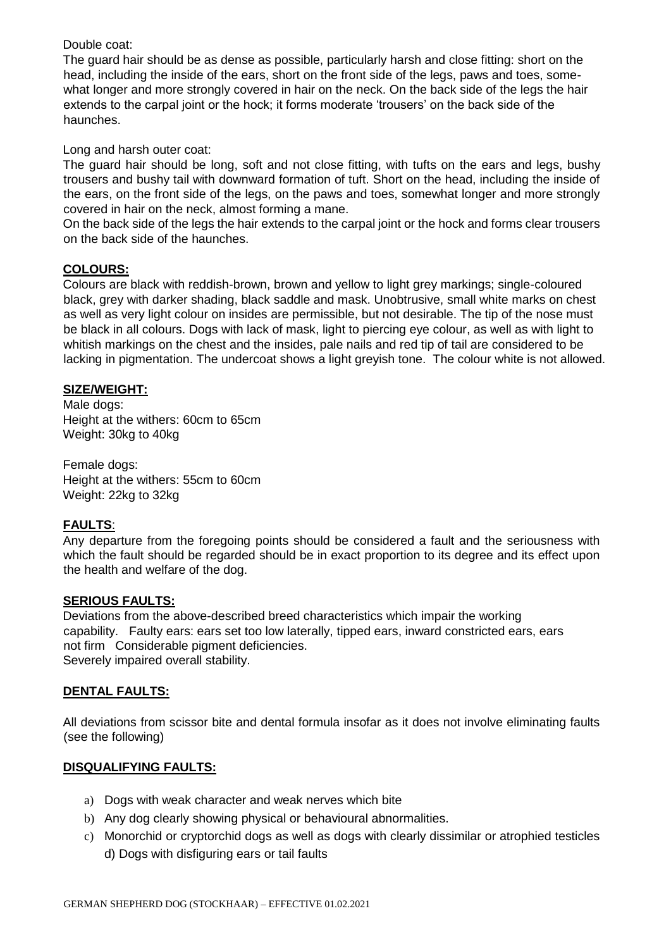### Double coat:

The guard hair should be as dense as possible, particularly harsh and close fitting: short on the head, including the inside of the ears, short on the front side of the legs, paws and toes, somewhat longer and more strongly covered in hair on the neck. On the back side of the legs the hair extends to the carpal joint or the hock; it forms moderate 'trousers' on the back side of the haunches.

Long and harsh outer coat:

The guard hair should be long, soft and not close fitting, with tufts on the ears and legs, bushy trousers and bushy tail with downward formation of tuft. Short on the head, including the inside of the ears, on the front side of the legs, on the paws and toes, somewhat longer and more strongly covered in hair on the neck, almost forming a mane.

On the back side of the legs the hair extends to the carpal joint or the hock and forms clear trousers on the back side of the haunches.

# **COLOURS:**

Colours are black with reddish-brown, brown and yellow to light grey markings; single-coloured black, grey with darker shading, black saddle and mask. Unobtrusive, small white marks on chest as well as very light colour on insides are permissible, but not desirable. The tip of the nose must be black in all colours. Dogs with lack of mask, light to piercing eye colour, as well as with light to whitish markings on the chest and the insides, pale nails and red tip of tail are considered to be lacking in pigmentation. The undercoat shows a light greyish tone. The colour white is not allowed.

### **SIZE/WEIGHT:**

Male dogs: Height at the withers: 60cm to 65cm Weight: 30kg to 40kg

Female dogs: Height at the withers: 55cm to 60cm Weight: 22kg to 32kg

# **FAULTS**:

Any departure from the foregoing points should be considered a fault and the seriousness with which the fault should be regarded should be in exact proportion to its degree and its effect upon the health and welfare of the dog.

### **SERIOUS FAULTS:**

Deviations from the above-described breed characteristics which impair the working capability. Faulty ears: ears set too low laterally, tipped ears, inward constricted ears, ears not firm Considerable pigment deficiencies. Severely impaired overall stability.

### **DENTAL FAULTS:**

All deviations from scissor bite and dental formula insofar as it does not involve eliminating faults (see the following)

### **DISQUALIFYING FAULTS:**

- a) Dogs with weak character and weak nerves which bite
- b) Any dog clearly showing physical or behavioural abnormalities.
- c) Monorchid or cryptorchid dogs as well as dogs with clearly dissimilar or atrophied testicles d) Dogs with disfiguring ears or tail faults